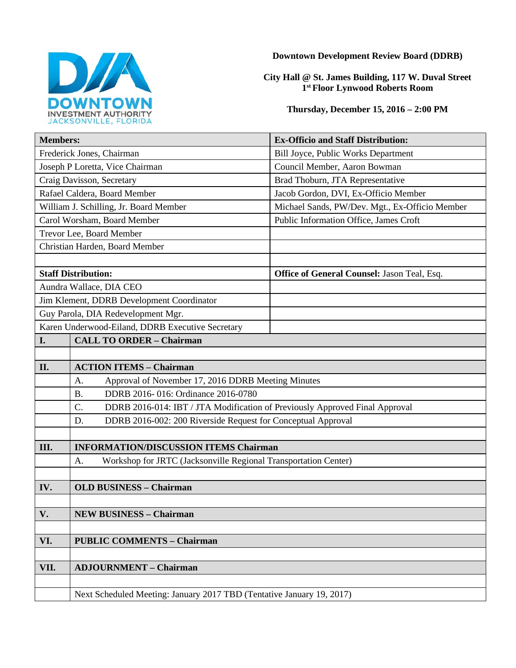

**Downtown Development Review Board (DDRB)**

**City Hall @ St. James Building, 117 W. Duval Street 1st Floor Lynwood Roberts Room**

**Thursday, December 15, 2016 – 2:00 PM**

| <b>Members:</b>                                  |                                                                                   | <b>Ex-Officio and Staff Distribution:</b>      |
|--------------------------------------------------|-----------------------------------------------------------------------------------|------------------------------------------------|
| Frederick Jones, Chairman                        |                                                                                   | Bill Joyce, Public Works Department            |
| Joseph P Loretta, Vice Chairman                  |                                                                                   | Council Member, Aaron Bowman                   |
| Craig Davisson, Secretary                        |                                                                                   | Brad Thoburn, JTA Representative               |
| Rafael Caldera, Board Member                     |                                                                                   | Jacob Gordon, DVI, Ex-Officio Member           |
| William J. Schilling, Jr. Board Member           |                                                                                   | Michael Sands, PW/Dev. Mgt., Ex-Officio Member |
| Carol Worsham, Board Member                      |                                                                                   | Public Information Office, James Croft         |
| Trevor Lee, Board Member                         |                                                                                   |                                                |
| Christian Harden, Board Member                   |                                                                                   |                                                |
|                                                  |                                                                                   |                                                |
| <b>Staff Distribution:</b>                       |                                                                                   | Office of General Counsel: Jason Teal, Esq.    |
| Aundra Wallace, DIA CEO                          |                                                                                   |                                                |
| Jim Klement, DDRB Development Coordinator        |                                                                                   |                                                |
| Guy Parola, DIA Redevelopment Mgr.               |                                                                                   |                                                |
| Karen Underwood-Eiland, DDRB Executive Secretary |                                                                                   |                                                |
| I.                                               | <b>CALL TO ORDER - Chairman</b>                                                   |                                                |
|                                                  |                                                                                   |                                                |
| II.                                              | <b>ACTION ITEMS - Chairman</b>                                                    |                                                |
|                                                  | Approval of November 17, 2016 DDRB Meeting Minutes<br>А.                          |                                                |
|                                                  | <b>B.</b><br>DDRB 2016-016: Ordinance 2016-0780                                   |                                                |
|                                                  | DDRB 2016-014: IBT / JTA Modification of Previously Approved Final Approval<br>C. |                                                |
|                                                  | DDRB 2016-002: 200 Riverside Request for Conceptual Approval<br>D.                |                                                |
|                                                  |                                                                                   |                                                |
| Ш.                                               | <b>INFORMATION/DISCUSSION ITEMS Chairman</b>                                      |                                                |
|                                                  | Workshop for JRTC (Jacksonville Regional Transportation Center)<br>А.             |                                                |
|                                                  |                                                                                   |                                                |
| IV.                                              | <b>OLD BUSINESS - Chairman</b>                                                    |                                                |
|                                                  |                                                                                   |                                                |
| V.                                               | <b>NEW BUSINESS - Chairman</b>                                                    |                                                |
|                                                  |                                                                                   |                                                |
| VI.                                              | <b>PUBLIC COMMENTS - Chairman</b>                                                 |                                                |
|                                                  |                                                                                   |                                                |
| VII.                                             | <b>ADJOURNMENT - Chairman</b>                                                     |                                                |
|                                                  |                                                                                   |                                                |
|                                                  | Next Scheduled Meeting: January 2017 TBD (Tentative January 19, 2017)             |                                                |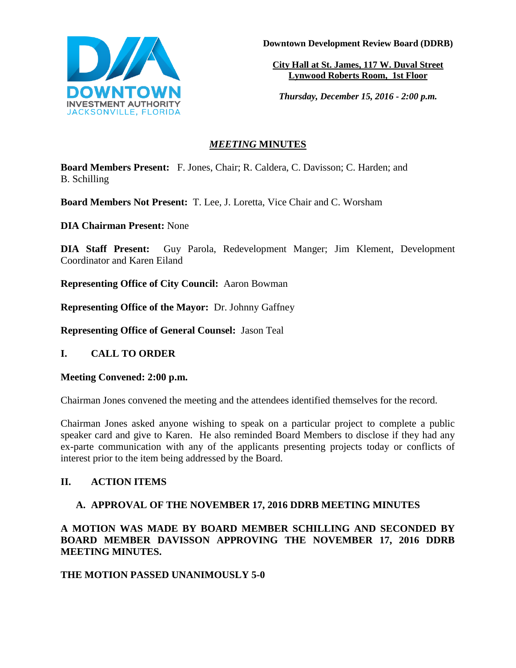

**Downtown Development Review Board (DDRB)**

**City Hall at St. James, 117 W. Duval Street Lynwood Roberts Room, 1st Floor**

*Thursday, December 15, 2016 - 2:00 p.m.*

# *MEETING* **MINUTES**

**Board Members Present:** F. Jones, Chair; R. Caldera, C. Davisson; C. Harden; and B. Schilling

**Board Members Not Present:** T. Lee, J. Loretta, Vice Chair and C. Worsham

**DIA Chairman Present:** None

**DIA Staff Present:** Guy Parola, Redevelopment Manger; Jim Klement, Development Coordinator and Karen Eiland

**Representing Office of City Council:** Aaron Bowman

**Representing Office of the Mayor:** Dr. Johnny Gaffney

**Representing Office of General Counsel:** Jason Teal

## **I. CALL TO ORDER**

#### **Meeting Convened: 2:00 p.m.**

Chairman Jones convened the meeting and the attendees identified themselves for the record.

Chairman Jones asked anyone wishing to speak on a particular project to complete a public speaker card and give to Karen. He also reminded Board Members to disclose if they had any ex-parte communication with any of the applicants presenting projects today or conflicts of interest prior to the item being addressed by the Board.

## **II. ACTION ITEMS**

## **A. APPROVAL OF THE NOVEMBER 17, 2016 DDRB MEETING MINUTES**

**A MOTION WAS MADE BY BOARD MEMBER SCHILLING AND SECONDED BY BOARD MEMBER DAVISSON APPROVING THE NOVEMBER 17, 2016 DDRB MEETING MINUTES.** 

#### **THE MOTION PASSED UNANIMOUSLY 5-0**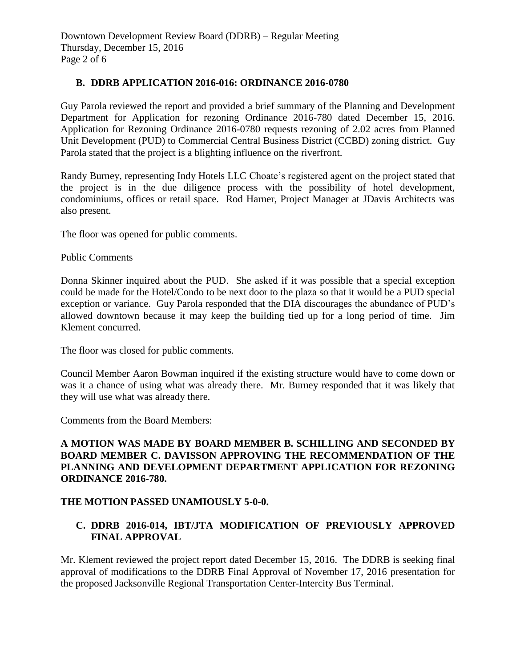#### **B. DDRB APPLICATION 2016-016: ORDINANCE 2016-0780**

Guy Parola reviewed the report and provided a brief summary of the Planning and Development Department for Application for rezoning Ordinance 2016-780 dated December 15, 2016. Application for Rezoning Ordinance 2016-0780 requests rezoning of 2.02 acres from Planned Unit Development (PUD) to Commercial Central Business District (CCBD) zoning district. Guy Parola stated that the project is a blighting influence on the riverfront.

Randy Burney, representing Indy Hotels LLC Choate's registered agent on the project stated that the project is in the due diligence process with the possibility of hotel development, condominiums, offices or retail space. Rod Harner, Project Manager at JDavis Architects was also present.

The floor was opened for public comments.

#### Public Comments

Donna Skinner inquired about the PUD. She asked if it was possible that a special exception could be made for the Hotel/Condo to be next door to the plaza so that it would be a PUD special exception or variance. Guy Parola responded that the DIA discourages the abundance of PUD's allowed downtown because it may keep the building tied up for a long period of time. Jim Klement concurred.

The floor was closed for public comments.

Council Member Aaron Bowman inquired if the existing structure would have to come down or was it a chance of using what was already there. Mr. Burney responded that it was likely that they will use what was already there.

Comments from the Board Members:

### **A MOTION WAS MADE BY BOARD MEMBER B. SCHILLING AND SECONDED BY BOARD MEMBER C. DAVISSON APPROVING THE RECOMMENDATION OF THE PLANNING AND DEVELOPMENT DEPARTMENT APPLICATION FOR REZONING ORDINANCE 2016-780.**

#### **THE MOTION PASSED UNAMIOUSLY 5-0-0.**

### **C. DDRB 2016-014, IBT/JTA MODIFICATION OF PREVIOUSLY APPROVED FINAL APPROVAL**

Mr. Klement reviewed the project report dated December 15, 2016. The DDRB is seeking final approval of modifications to the DDRB Final Approval of November 17, 2016 presentation for the proposed Jacksonville Regional Transportation Center-Intercity Bus Terminal.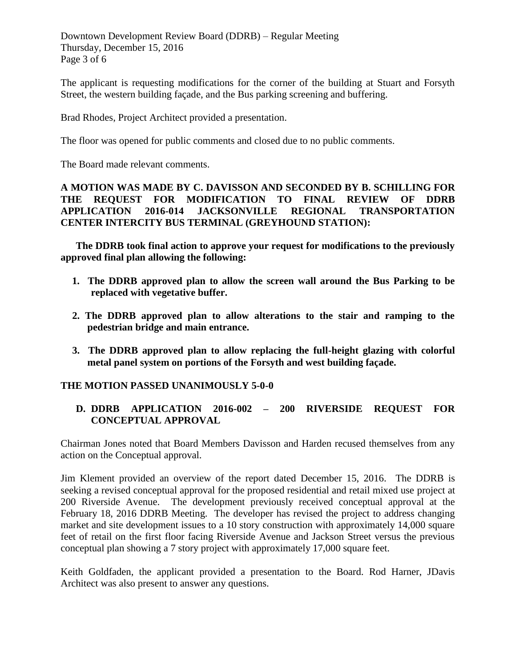Downtown Development Review Board (DDRB) – Regular Meeting Thursday, December 15, 2016 Page 3 of 6

The applicant is requesting modifications for the corner of the building at Stuart and Forsyth Street, the western building façade, and the Bus parking screening and buffering.

Brad Rhodes, Project Architect provided a presentation.

The floor was opened for public comments and closed due to no public comments.

The Board made relevant comments.

**A MOTION WAS MADE BY C. DAVISSON AND SECONDED BY B. SCHILLING FOR THE REQUEST FOR MODIFICATION TO FINAL REVIEW OF DDRB APPLICATION 2016-014 JACKSONVILLE REGIONAL TRANSPORTATION CENTER INTERCITY BUS TERMINAL (GREYHOUND STATION):**

**The DDRB took final action to approve your request for modifications to the previously approved final plan allowing the following:**

- **1. The DDRB approved plan to allow the screen wall around the Bus Parking to be replaced with vegetative buffer.**
- **2. The DDRB approved plan to allow alterations to the stair and ramping to the pedestrian bridge and main entrance.**
- **3. The DDRB approved plan to allow replacing the full-height glazing with colorful metal panel system on portions of the Forsyth and west building façade.**

## **THE MOTION PASSED UNANIMOUSLY 5-0-0**

## **D. DDRB APPLICATION 2016-002 – 200 RIVERSIDE REQUEST FOR CONCEPTUAL APPROVAL**

Chairman Jones noted that Board Members Davisson and Harden recused themselves from any action on the Conceptual approval.

Jim Klement provided an overview of the report dated December 15, 2016. The DDRB is seeking a revised conceptual approval for the proposed residential and retail mixed use project at 200 Riverside Avenue. The development previously received conceptual approval at the February 18, 2016 DDRB Meeting. The developer has revised the project to address changing market and site development issues to a 10 story construction with approximately 14,000 square feet of retail on the first floor facing Riverside Avenue and Jackson Street versus the previous conceptual plan showing a 7 story project with approximately 17,000 square feet.

Keith Goldfaden, the applicant provided a presentation to the Board. Rod Harner, JDavis Architect was also present to answer any questions.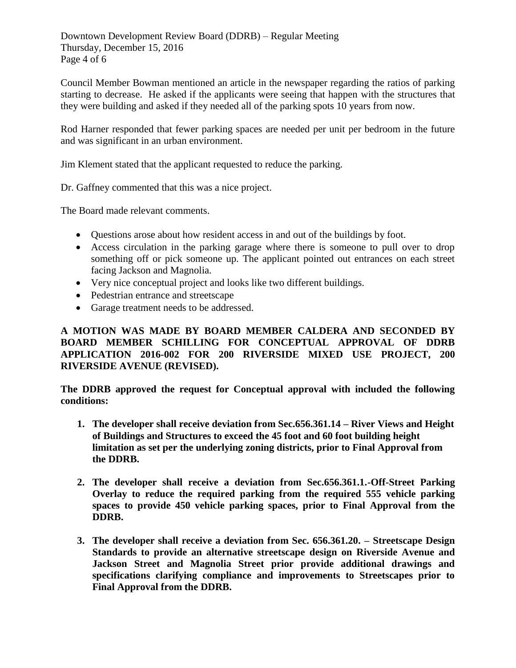Downtown Development Review Board (DDRB) – Regular Meeting Thursday, December 15, 2016 Page 4 of 6

Council Member Bowman mentioned an article in the newspaper regarding the ratios of parking starting to decrease. He asked if the applicants were seeing that happen with the structures that they were building and asked if they needed all of the parking spots 10 years from now.

Rod Harner responded that fewer parking spaces are needed per unit per bedroom in the future and was significant in an urban environment.

Jim Klement stated that the applicant requested to reduce the parking.

Dr. Gaffney commented that this was a nice project.

The Board made relevant comments.

- Questions arose about how resident access in and out of the buildings by foot.
- Access circulation in the parking garage where there is someone to pull over to drop something off or pick someone up. The applicant pointed out entrances on each street facing Jackson and Magnolia.
- Very nice conceptual project and looks like two different buildings.
- Pedestrian entrance and streetscape
- Garage treatment needs to be addressed.

### **A MOTION WAS MADE BY BOARD MEMBER CALDERA AND SECONDED BY BOARD MEMBER SCHILLING FOR CONCEPTUAL APPROVAL OF DDRB APPLICATION 2016-002 FOR 200 RIVERSIDE MIXED USE PROJECT, 200 RIVERSIDE AVENUE (REVISED).**

**The DDRB approved the request for Conceptual approval with included the following conditions:**

- **1. The developer shall receive deviation from Sec.656.361.14 – River Views and Height of Buildings and Structures to exceed the 45 foot and 60 foot building height limitation as set per the underlying zoning districts, prior to Final Approval from the DDRB.**
- **2. The developer shall receive a deviation from Sec.656.361.1.-Off-Street Parking Overlay to reduce the required parking from the required 555 vehicle parking spaces to provide 450 vehicle parking spaces, prior to Final Approval from the DDRB.**
- **3. The developer shall receive a deviation from Sec. 656.361.20. – Streetscape Design Standards to provide an alternative streetscape design on Riverside Avenue and Jackson Street and Magnolia Street prior provide additional drawings and specifications clarifying compliance and improvements to Streetscapes prior to Final Approval from the DDRB.**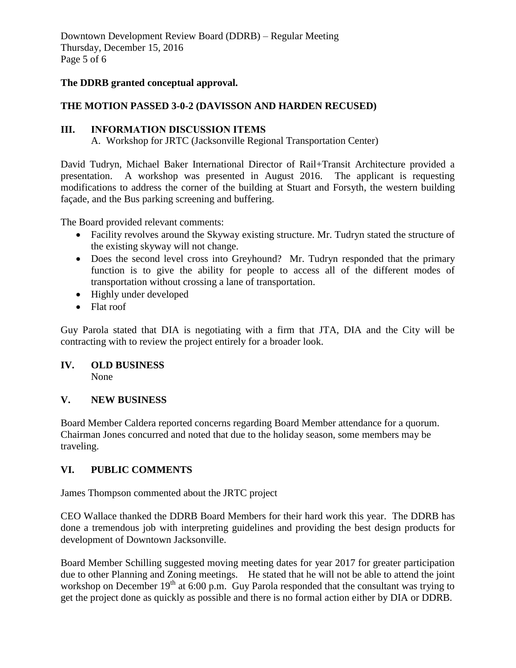Downtown Development Review Board (DDRB) – Regular Meeting Thursday, December 15, 2016 Page 5 of 6

#### **The DDRB granted conceptual approval.**

#### **THE MOTION PASSED 3-0-2 (DAVISSON AND HARDEN RECUSED)**

#### **III. INFORMATION DISCUSSION ITEMS**

A. Workshop for JRTC (Jacksonville Regional Transportation Center)

David Tudryn, Michael Baker International Director of Rail+Transit Architecture provided a presentation. A workshop was presented in August 2016. The applicant is requesting modifications to address the corner of the building at Stuart and Forsyth, the western building façade, and the Bus parking screening and buffering.

The Board provided relevant comments:

- Facility revolves around the Skyway existing structure. Mr. Tudryn stated the structure of the existing skyway will not change.
- Does the second level cross into Greyhound? Mr. Tudryn responded that the primary function is to give the ability for people to access all of the different modes of transportation without crossing a lane of transportation.
- Highly under developed
- Flat roof

Guy Parola stated that DIA is negotiating with a firm that JTA, DIA and the City will be contracting with to review the project entirely for a broader look.

## **IV. OLD BUSINESS**

None

#### **V. NEW BUSINESS**

Board Member Caldera reported concerns regarding Board Member attendance for a quorum. Chairman Jones concurred and noted that due to the holiday season, some members may be traveling.

#### **VI. PUBLIC COMMENTS**

James Thompson commented about the JRTC project

CEO Wallace thanked the DDRB Board Members for their hard work this year. The DDRB has done a tremendous job with interpreting guidelines and providing the best design products for development of Downtown Jacksonville.

Board Member Schilling suggested moving meeting dates for year 2017 for greater participation due to other Planning and Zoning meetings. He stated that he will not be able to attend the joint workshop on December  $19<sup>th</sup>$  at 6:00 p.m. Guy Parola responded that the consultant was trying to get the project done as quickly as possible and there is no formal action either by DIA or DDRB.